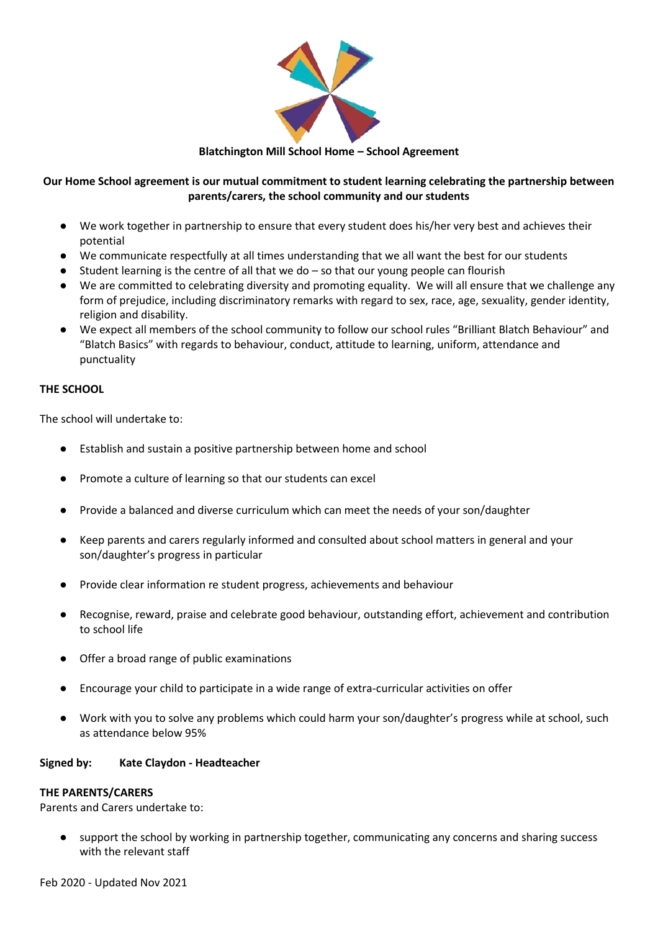

**Blatchington Mill School Home – School Agreement**

# **Our Home School agreement is our mutual commitment to student learning celebrating the partnership between parents/carers, the school community and our students**

- We work together in partnership to ensure that every student does his/her very best and achieves their potential
- We communicate respectfully at all times understanding that we all want the best for our students
- Student learning is the centre of all that we do so that our young people can flourish
- We are committed to celebrating diversity and promoting equality. We will all ensure that we challenge any form of prejudice, including discriminatory remarks with regard to sex, race, age, sexuality, gender identity, religion and disability.
- We expect all members of the school community to follow our school rules "Brilliant Blatch Behaviour" and "Blatch Basics" with regards to behaviour, conduct, attitude to learning, uniform, attendance and punctuality

## **THE SCHOOL**

The school will undertake to:

- Establish and sustain a positive partnership between home and school
- Promote a culture of learning so that our students can excel
- Provide a balanced and diverse curriculum which can meet the needs of your son/daughter
- Keep parents and carers regularly informed and consulted about school matters in general and your son/daughter's progress in particular
- Provide clear information re student progress, achievements and behaviour
- Recognise, reward, praise and celebrate good behaviour, outstanding effort, achievement and contribution to school life
- Offer a broad range of public examinations
- Encourage your child to participate in a wide range of extra-curricular activities on offer
- Work with you to solve any problems which could harm your son/daughter's progress while at school, such as attendance below 95%

## **Signed by: Kate Claydon - Headteacher**

## **THE PARENTS/CARERS**

Parents and Carers undertake to:

● support the school by working in partnership together, communicating any concerns and sharing success with the relevant staff